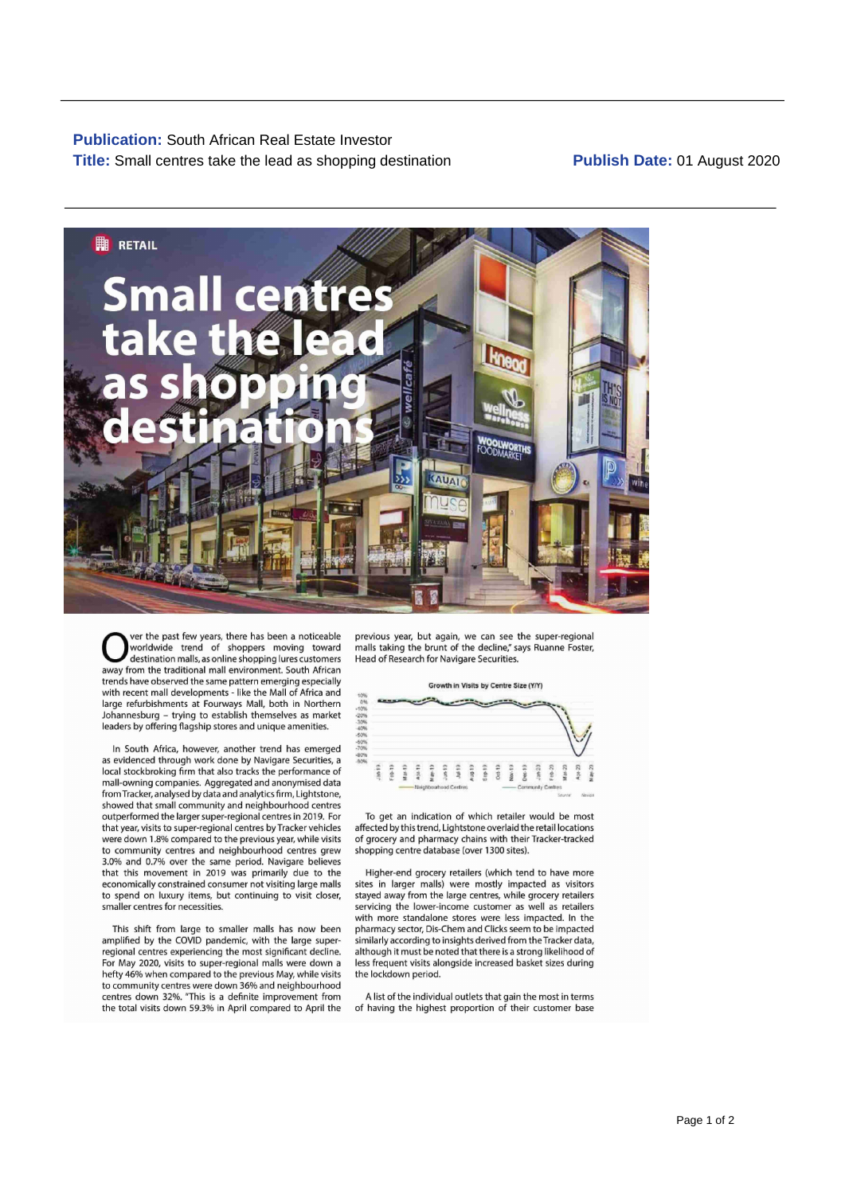**Publication:** South African Real Estate Investor **Title:** Small centres take the lead as shopping destination

## **Publish Date:** 01 August 2020



Ver the past few years, there has been a noticeable previous year, but again, we can see the super-regiona<br>worldwide trend of shoppers moving toward malls taking the brunt of the decline," says Ruanne Foster<br>destination ma away from the traditional mall environment. South African trends have observed the same pattern emerging especially Growth in Visits by Centre Size (YIY) with recent mall developments — like the Mall of Africa and large refurbishments at Fourways Mall, both in Northern Johannesburg - trying to establish themselves as market leaders by offering flagship stores and unique amenities.

In South Africa, however, another trend has emerged as evidenced through work done by Navigare Securities, a U local stockbroking firm that also tracks the performance of  $\frac{2}{3}$ :  $\frac{2}{3}$ :  $\frac{2}{3}$ ;  $\frac{2}{3}$ ;  $\frac{2}{3}$ ;  $\frac{2}{3}$ ;  $\frac{2}{3}$ ;  $\frac{2}{3}$ ;  $\frac{2}{3}$ ;  $\frac{2}{3}$ ;  $\frac{2}{3}$ ;  $\frac{2}{3}$ ;  $\frac{2}{3}$ ;  $\frac{2}{3}$ ;  $\frac{2$ mall-owning companies. Aggregated and anonymised data<br>from Tracker, analysed by data and analytics firm, Lightstone,<br>showed that small community and neighbourhood centres outperformed the larger super-regional centres in 2019. For To get an indication of which retailer would be most that year, visits to super-regional centres by Tracker vehicles were down 1.8% compared to the previous year, while visits of grocery and pharmacy chains with their Tracker-tracked to community centres and neighbourhood centres grew shopping centre database (over 1300 sites). 3.0% and 0.7% over the same period. Navigare believes that this movement in 2019 was primarily due to the Higher-end grocery retailers (which tend to have more to spend on luxury items, but continuing to visit closer, smaller centres for necessities.

For May 2020, visits to super-regional malls were down a hefty 46% when compared to the previous May, while visits the lockdown period. to community centres were down 36% and neighbourhood<br>centres down 32%. "This is a definite improvement from a A list of the individual outlets that gain the most in terms the total visits down 59.3% in April compared to April the of having the highest proportion of their customer base

malls taking the brunt of the decline," says Ruanne Foster,<br>Head of Research for Navigare Securities.



economically constrained consumer not visiting large malls sites in larger malls) were mostly impacted as visitors<br>to spend on luxury items, but continuing to visit closer, stayed away from the large centres, while grocery servicing the lower-income customer as well as retailers with more standalone stores were less impacted. In the pharmacy sector, Dis-Chem and Clicks seem to be impacted This shift from large to smaller malls has now been pharmacy sector, Dis-Chem and Clicks seem to be impacted amplied by the COVID pandemic, with the large super- similarly according to insights derived from theTracker data, regional centres experiencing the most significant decline. although it must be noted that there is a strong likelihood of<br>For May 2020, visits to super-regional malls were down a less frequent visits alongside increased b